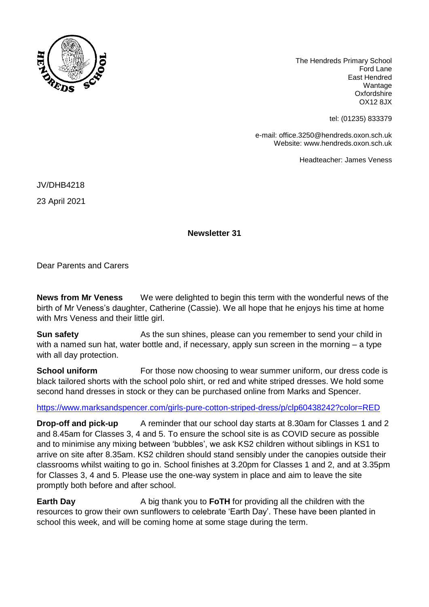

The Hendreds Primary School Ford Lane East Hendred Wantage **Oxfordshire** OX12 8JX

tel: (01235) 833379

e-mail: office.3250@hendreds.oxon.sch.uk Website: www.hendreds.oxon.sch.uk

Headteacher: James Veness

JV/DHB4218

23 April 2021

**Newsletter 31**

Dear Parents and Carers

**News from Mr Veness** We were delighted to begin this term with the wonderful news of the birth of Mr Veness's daughter, Catherine (Cassie). We all hope that he enjoys his time at home with Mrs Veness and their little girl.

**Sun safety** As the sun shines, please can you remember to send your child in with a named sun hat, water bottle and, if necessary, apply sun screen in the morning – a type with all day protection.

**School uniform** For those now choosing to wear summer uniform, our dress code is black tailored shorts with the school polo shirt, or red and white striped dresses. We hold some second hand dresses in stock or they can be purchased online from Marks and Spencer.

<https://www.marksandspencer.com/girls-pure-cotton-striped-dress/p/clp60438242?color=RED>

**Drop-off and pick-up** A reminder that our school day starts at 8.30am for Classes 1 and 2 and 8.45am for Classes 3, 4 and 5. To ensure the school site is as COVID secure as possible and to minimise any mixing between 'bubbles', we ask KS2 children without siblings in KS1 to arrive on site after 8.35am. KS2 children should stand sensibly under the canopies outside their classrooms whilst waiting to go in. School finishes at 3.20pm for Classes 1 and 2, and at 3.35pm for Classes 3, 4 and 5. Please use the one-way system in place and aim to leave the site promptly both before and after school.

**Earth Day** A big thank you to **FoTH** for providing all the children with the resources to grow their own sunflowers to celebrate 'Earth Day'. These have been planted in school this week, and will be coming home at some stage during the term.